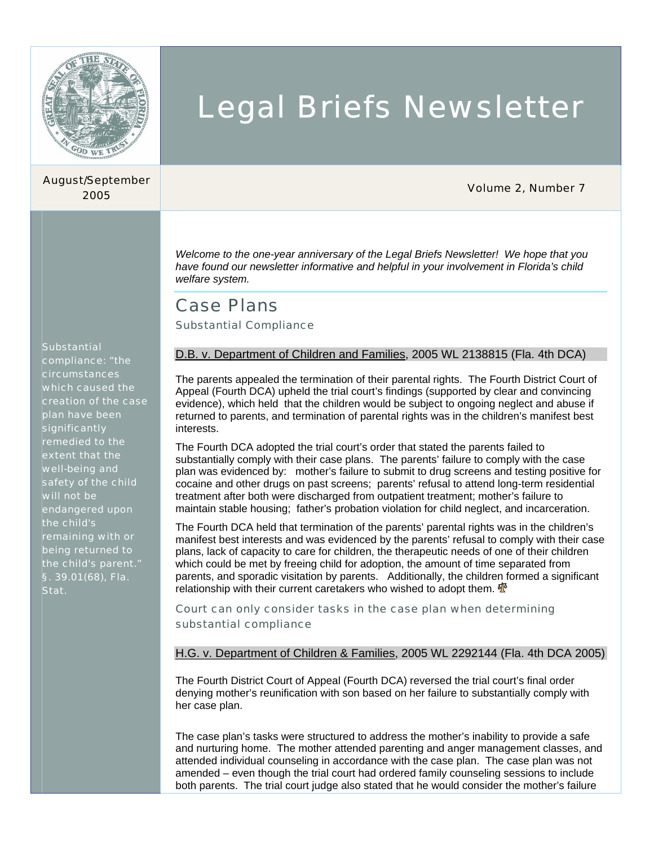

## August/September

# Legal Briefs Newsletter

## <sup>2005</sup>Volume 2, Number 7

*Welcome to the one-year anniversary of the Legal Briefs Newsletter! We hope that you have found our newsletter informative and helpful in your involvement in Florida's child welfare system.* 

## Case Plans

Substantial Compliance

#### **Substantial**

compliance: "the circumstances which caused the creation of the case plan have been significantly remedied to the extent that the well-being and safety of the child will not be endangered upon the child's remaining with or being returned to the child's parent." §. 39.01(68), Fla. Stat.

### D.B. v. Department of Children and Families, 2005 WL 2138815 (Fla. 4th DCA)

The parents appealed the termination of their parental rights. The Fourth District Court of Appeal (Fourth DCA) upheld the trial court's findings (supported by clear and convincing evidence), which held that the children would be subject to ongoing neglect and abuse if returned to parents, and termination of parental rights was in the children's manifest best interests.

The Fourth DCA adopted the trial court's order that stated the parents failed to substantially comply with their case plans. The parents' failure to comply with the case plan was evidenced by: mother's failure to submit to drug screens and testing positive for cocaine and other drugs on past screens; parents' refusal to attend long-term residential treatment after both were discharged from outpatient treatment; mother's failure to maintain stable housing; father's probation violation for child neglect, and incarceration.

The Fourth DCA held that termination of the parents' parental rights was in the children's manifest best interests and was evidenced by the parents' refusal to comply with their case plans, lack of capacity to care for children, the therapeutic needs of one of their children which could be met by freeing child for adoption, the amount of time separated from parents, and sporadic visitation by parents. Additionally, the children formed a significant relationship with their current caretakers who wished to adopt them.  $\mathbf{\Phi}$ 

Court can only consider tasks in the case plan when determining substantial compliance

H.G. v. Department of Children & Families, 2005 WL 2292144 (Fla. 4th DCA 2005)

The Fourth District Court of Appeal (Fourth DCA) reversed the trial court's final order denying mother's reunification with son based on her failure to substantially comply with her case plan.

The case plan's tasks were structured to address the mother's inability to provide a safe and nurturing home. The mother attended parenting and anger management classes, and attended individual counseling in accordance with the case plan. The case plan was not amended – even though the trial court had ordered family counseling sessions to include both parents. The trial court judge also stated that he would consider the mother's failure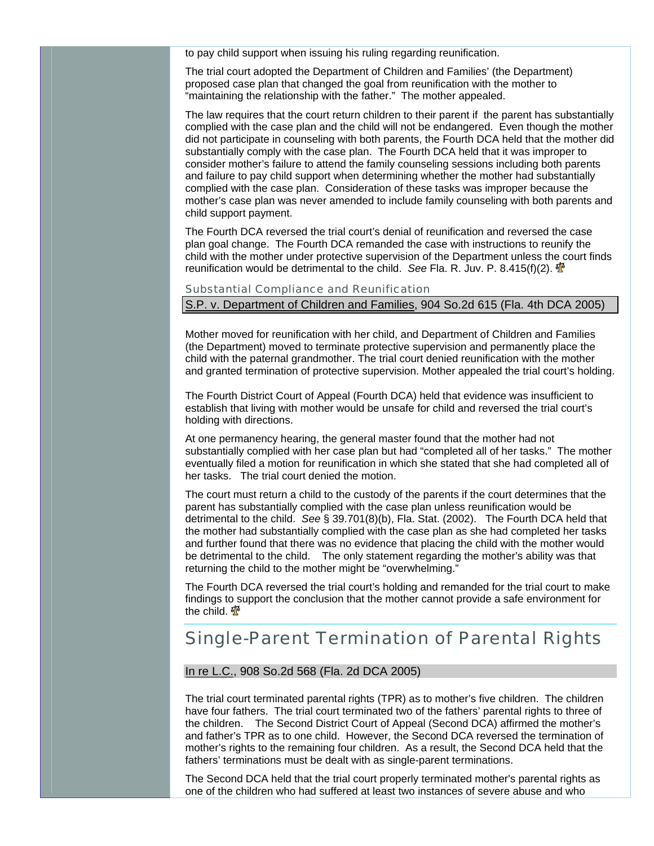to pay child support when issuing his ruling regarding reunification.

The trial court adopted the Department of Children and Families' (the Department) proposed case plan that changed the goal from reunification with the mother to "maintaining the relationship with the father." The mother appealed.

The law requires that the court return children to their parent if the parent has substantially complied with the case plan and the child will not be endangered. Even though the mother did not participate in counseling with both parents, the Fourth DCA held that the mother did substantially comply with the case plan. The Fourth DCA held that it was improper to consider mother's failure to attend the family counseling sessions including both parents and failure to pay child support when determining whether the mother had substantially complied with the case plan. Consideration of these tasks was improper because the mother's case plan was never amended to include family counseling with both parents and child support payment.

The Fourth DCA reversed the trial court's denial of reunification and reversed the case plan goal change. The Fourth DCA remanded the case with instructions to reunify the child with the mother under protective supervision of the Department unless the court finds reunification would be detrimental to the child. *See* Fla. R. Juv. P. 8.415(f)(2).

#### Substantial Compliance and Reunification

### S.P. v. Department of Children and Families, 904 So.2d 615 (Fla. 4th DCA 2005)

Mother moved for reunification with her child, and Department of Children and Families (the Department) moved to terminate protective supervision and permanently place the child with the paternal grandmother. The trial court denied reunification with the mother and granted termination of protective supervision. Mother appealed the trial court's holding.

The Fourth District Court of Appeal (Fourth DCA) held that evidence was insufficient to establish that living with mother would be unsafe for child and reversed the trial court's holding with directions.

At one permanency hearing, the general master found that the mother had not substantially complied with her case plan but had "completed all of her tasks." The mother eventually filed a motion for reunification in which she stated that she had completed all of her tasks. The trial court denied the motion.

The court must return a child to the custody of the parents if the court determines that the parent has substantially complied with the case plan unless reunification would be detrimental to the child. *See* § 39.701(8)(b), Fla. Stat. (2002). The Fourth DCA held that the mother had substantially complied with the case plan as she had completed her tasks and further found that there was no evidence that placing the child with the mother would be detrimental to the child. The only statement regarding the mother's ability was that returning the child to the mother might be "overwhelming."

The Fourth DCA reversed the trial court's holding and remanded for the trial court to make findings to support the conclusion that the mother cannot provide a safe environment for the child.  $\Phi$ 

## Single-Parent Termination of Parental Rights

#### In re L.C., 908 So.2d 568 (Fla. 2d DCA 2005)

The trial court terminated parental rights (TPR) as to mother's five children. The children have four fathers. The trial court terminated two of the fathers' parental rights to three of the children. The Second District Court of Appeal (Second DCA) affirmed the mother's and father's TPR as to one child. However, the Second DCA reversed the termination of mother's rights to the remaining four children. As a result, the Second DCA held that the fathers' terminations must be dealt with as single-parent terminations.

The Second DCA held that the trial court properly terminated mother's parental rights as one of the children who had suffered at least two instances of severe abuse and who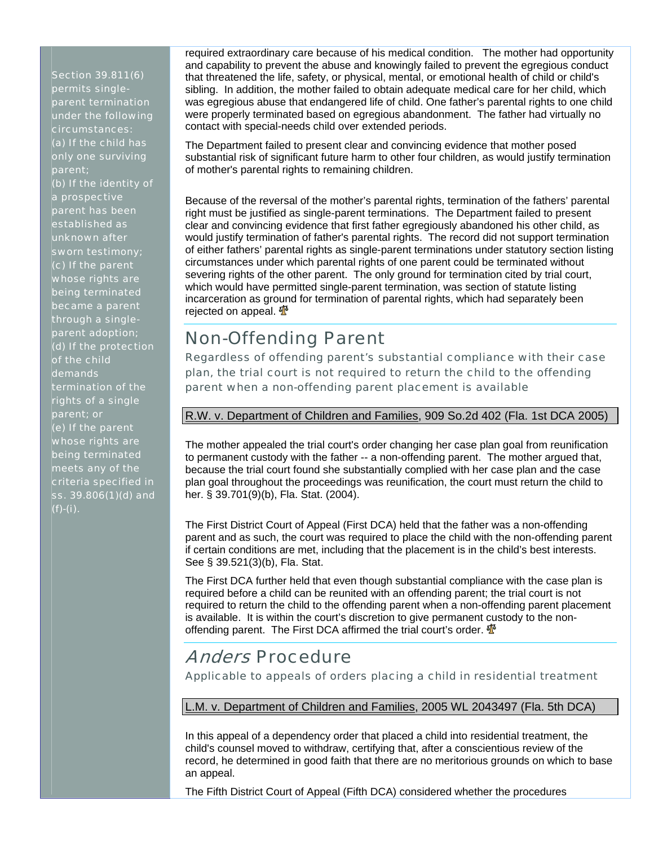Section 39.811(6) permits singleparent termination under the following circumstances: (a) If the child has only one surviving parent; (b) If the identity of a prospective parent has been established as unknown after sworn testimony; (c) If the parent whose rights are being terminated became a parent through a singleparent adoption; (d) If the protection of the child demands termination of the rights of a single parent; or (e) If the parent whose rights are being terminated meets any of the criteria specified in [ss. 39.806\(1\)\(d\) and](http://web2.westlaw.com/find/default.wl?DB=1000006&DocName=FLSTS39%2E806&FindType=L&AP=&mt=Westlaw&fn=_top&sv=Split&vr=2.0&rs=WLW5.10)  [\(f\)-\(i\)](http://web2.westlaw.com/find/default.wl?DB=1000006&DocName=FLSTS39%2E806&FindType=L&AP=&mt=Westlaw&fn=_top&sv=Split&vr=2.0&rs=WLW5.10).

required extraordinary care because of his medical condition. The mother had opportunity and capability to prevent the abuse and knowingly failed to prevent the egregious conduct that threatened the life, safety, or physical, mental, or emotional health of child or child's sibling. In addition, the mother failed to obtain adequate medical care for her child, which was egregious abuse that endangered life of child. One father's parental rights to one child were properly terminated based on egregious abandonment. The father had virtually no contact with special-needs child over extended periods.

The Department failed to present clear and convincing evidence that mother posed substantial risk of significant future harm to other four children, as would justify termination of mother's parental rights to remaining children.

Because of the reversal of the mother's parental rights, termination of the fathers' parental right must be justified as single-parent terminations. The Department failed to present clear and convincing evidence that first father egregiously abandoned his other child, as would justify termination of father's parental rights. The record did not support termination of either fathers' parental rights as single-parent terminations under statutory section listing circumstances under which parental rights of one parent could be terminated without severing rights of the other parent. The only ground for termination cited by trial court, which would have permitted single-parent termination, was section of statute listing incarceration as ground for termination of parental rights, which had separately been rejected on appeal.  $\Phi$ 

## Non-Offending Parent

Regardless of offending parent's substantial compliance with their case plan, the trial court is not required to return the child to the offending parent when a non-offending parent placement is available

## R.W. v. Department of Children and Families, 909 So.2d 402 (Fla. 1st DCA 2005)

The mother appealed the trial court's order changing her case plan goal from reunification to permanent custody with the father -- a non-offending parent. The mother argued that, because the trial court found she substantially complied with her case plan and the case plan goal throughout the proceedings was reunification, the court must return the child to her. § 39.701(9)(b), Fla. Stat. (2004).

The First District Court of Appeal (First DCA) held that the father was a non-offending parent and as such, the court was required to place the child with the non-offending parent if certain conditions are met, including that the placement is in the child's best interests. See § 39.521(3)(b), Fla. Stat.

The First DCA further held that even though substantial compliance with the case plan is required before a child can be reunited with an offending parent; the trial court is not required to return the child to the offending parent when a non-offending parent placement is available. It is within the court's discretion to give permanent custody to the nonoffending parent. The First DCA affirmed the trial court's order.  $\mathbf{\Phi}$ 

## Anders Procedure

Applicable to appeals of orders placing a child in residential treatment

## L.M. v. Department of Children and Families, 2005 WL 2043497 (Fla. 5th DCA)

In this appeal of a dependency order that placed a child into residential treatment, the child's counsel moved to withdraw, certifying that, after a conscientious review of the record, he determined in good faith that there are no meritorious grounds on which to base an appeal.

The Fifth District Court of Appeal (Fifth DCA) considered whether the procedures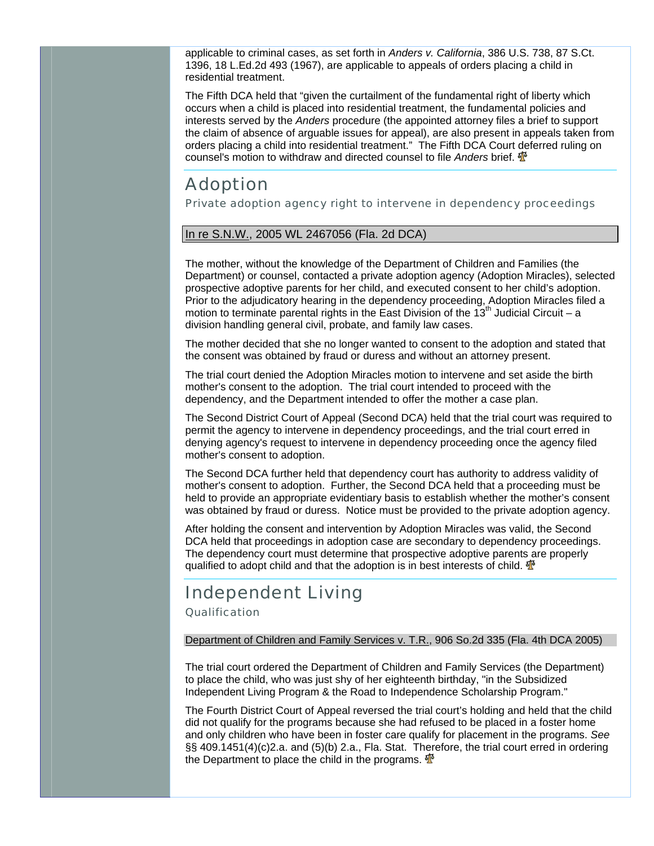applicable to criminal cases, as set forth in *Anders v. California*, 386 U.S. 738, 87 S.Ct. 1396, 18 L.Ed.2d 493 (1967), are applicable to appeals of orders placing a child in residential treatment.

The Fifth DCA held that "given the curtailment of the fundamental right of liberty which occurs when a child is placed into residential treatment, the fundamental policies and interests served by the *Anders* procedure (the appointed attorney files a brief to support the claim of absence of arguable issues for appeal), are also present in appeals taken from orders placing a child into residential treatment." The Fifth DCA Court deferred ruling on counsel's motion to withdraw and directed counsel to file *Anders* brief.

## Adoption

Private adoption agency right to intervene in dependency proceedings

#### In re S.N.W., 2005 WL 2467056 (Fla. 2d DCA)

The mother, without the knowledge of the Department of Children and Families (the Department) or counsel, contacted a private adoption agency (Adoption Miracles), selected prospective adoptive parents for her child, and executed consent to her child's adoption. Prior to the adjudicatory hearing in the dependency proceeding, Adoption Miracles filed a motion to terminate parental rights in the East Division of the  $13<sup>th</sup>$  Judicial Circuit – a division handling general civil, probate, and family law cases.

The mother decided that she no longer wanted to consent to the adoption and stated that the consent was obtained by fraud or duress and without an attorney present.

The trial court denied the Adoption Miracles motion to intervene and set aside the birth mother's consent to the adoption. The trial court intended to proceed with the dependency, and the Department intended to offer the mother a case plan.

The Second District Court of Appeal (Second DCA) held that the trial court was required to permit the agency to intervene in dependency proceedings, and the trial court erred in denying agency's request to intervene in dependency proceeding once the agency filed mother's consent to adoption.

The Second DCA further held that dependency court has authority to address validity of mother's consent to adoption. Further, the Second DCA held that a proceeding must be held to provide an appropriate evidentiary basis to establish whether the mother's consent was obtained by fraud or duress. Notice must be provided to the private adoption agency.

After holding the consent and intervention by Adoption Miracles was valid, the Second DCA held that proceedings in adoption case are secondary to dependency proceedings. The dependency court must determine that prospective adoptive parents are properly qualified to adopt child and that the adoption is in best interests of child.  $\mathbf{\Phi}$ 

## Independent Living

**Qualification** 

#### Department of Children and Family Services v. T.R., 906 So.2d 335 (Fla. 4th DCA 2005)

The trial court ordered the Department of Children and Family Services (the Department) to place the child, who was just shy of her eighteenth birthday, "in the Subsidized Independent Living Program & the Road to Independence Scholarship Program."

The Fourth District Court of Appeal reversed the trial court's holding and held that the child did not qualify for the programs because she had refused to be placed in a foster home and only children who have been in foster care qualify for placement in the programs. *See* §§ 409.1451(4)(c)2.a. and (5)(b) 2.a., Fla. Stat. Therefore, the trial court erred in ordering the Department to place the child in the programs.  $\mathbf{\Phi}$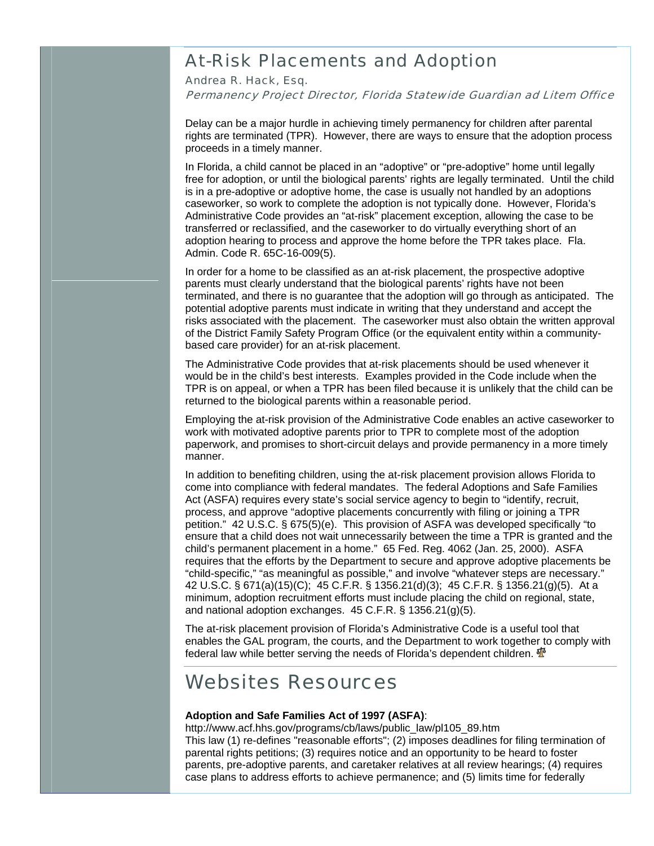## At-Risk Placements and Adoption

Andrea R. Hack, Esq. Permanency Project Director, Florida Statewide Guardian ad Litem Office

Delay can be a major hurdle in achieving timely permanency for children after parental rights are terminated (TPR). However, there are ways to ensure that the adoption process proceeds in a timely manner.

In Florida, a child cannot be placed in an "adoptive" or "pre-adoptive" home until legally free for adoption, or until the biological parents' rights are legally terminated. Until the child is in a pre-adoptive or adoptive home, the case is usually not handled by an adoptions caseworker, so work to complete the adoption is not typically done. However, Florida's Administrative Code provides an "at-risk" placement exception, allowing the case to be transferred or reclassified, and the caseworker to do virtually everything short of an adoption hearing to process and approve the home before the TPR takes place. Fla. Admin. Code R. 65C-16-009(5).

In order for a home to be classified as an at-risk placement, the prospective adoptive parents must clearly understand that the biological parents' rights have not been terminated, and there is no guarantee that the adoption will go through as anticipated. The potential adoptive parents must indicate in writing that they understand and accept the risks associated with the placement. The caseworker must also obtain the written approval of the District Family Safety Program Office (or the equivalent entity within a communitybased care provider) for an at-risk placement.

The Administrative Code provides that at-risk placements should be used whenever it would be in the child's best interests. Examples provided in the Code include when the TPR is on appeal, or when a TPR has been filed because it is unlikely that the child can be returned to the biological parents within a reasonable period.

Employing the at-risk provision of the Administrative Code enables an active caseworker to work with motivated adoptive parents prior to TPR to complete most of the adoption paperwork, and promises to short-circuit delays and provide permanency in a more timely manner.

In addition to benefiting children, using the at-risk placement provision allows Florida to come into compliance with federal mandates. The federal Adoptions and Safe Families Act (ASFA) requires every state's social service agency to begin to "identify, recruit, process, and approve "adoptive placements concurrently with filing or joining a TPR petition." 42 U.S.C. § 675(5)(e). This provision of ASFA was developed specifically "to ensure that a child does not wait unnecessarily between the time a TPR is granted and the child's permanent placement in a home." 65 Fed. Reg. 4062 (Jan. 25, 2000). ASFA requires that the efforts by the Department to secure and approve adoptive placements be "child-specific," "as meaningful as possible," and involve "whatever steps are necessary." 42 U.S.C. § 671(a)(15)(C); 45 C.F.R. § 1356.21(d)(3); 45 C.F.R. § 1356.21(g)(5). At a minimum, adoption recruitment efforts must include placing the child on regional, state, and national adoption exchanges. 45 C.F.R. § 1356.21(g)(5).

The at-risk placement provision of Florida's Administrative Code is a useful tool that enables the GAL program, the courts, and the Department to work together to comply with federal law while better serving the needs of Florida's dependent children.  $\Phi$ 

## Websites Resources

#### **Adoption and Safe Families Act of 1997 (ASFA)**:

http://www.acf.hhs.gov/programs/cb/laws/public\_law/pl105\_89.htm This law (1) re-defines "reasonable efforts"; (2) imposes deadlines for filing termination of parental rights petitions; (3) requires notice and an opportunity to be heard to foster parents, pre-adoptive parents, and caretaker relatives at all review hearings; (4) requires case plans to address efforts to achieve permanence; and (5) limits time for federally